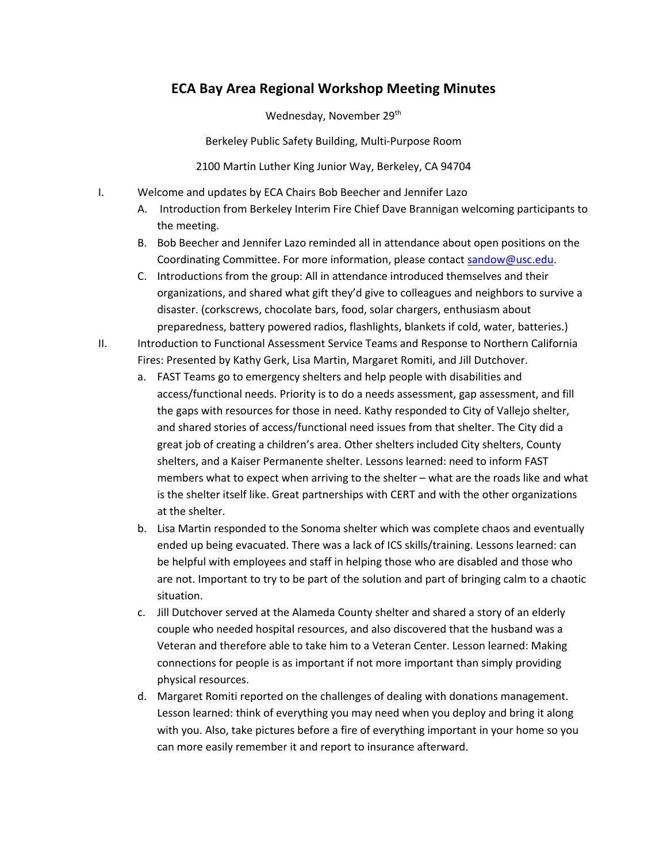## **ECA Bay Area Regional Workshop Meeting Minutes**

Wednesday, November 29<sup>th</sup>

Berkeley Public Safety Building, Multi-Purpose Room

2100 Martin Luther King Junior Way, Berkeley, CA 94704

- I. Welcome and updates by ECA Chairs Bob Beecher and Jennifer Lazo
	- A. Introduction from Berkeley Interim Fire Chief Dave Brannigan welcoming participants to the meeting.
	- B. Bob Beecher and Jennifer Lazo reminded all in attendance about open positions on the Coordinating Committee. For more information, please contact sandow@usc.edu.
	- C. Introductions from the group: All in attendance introduced themselves and their organizations, and shared what gift they'd give to colleagues and neighbors to survive a disaster. (corkscrews, chocolate bars, food, solar chargers, enthusiasm about preparedness, battery powered radios, flashlights, blankets if cold, water, batteries.)
- II. Introduction to Functional Assessment Service Teams and Response to Northern California Fires: Presented by Kathy Gerk, Lisa Martin, Margaret Romiti, and Jill Dutchover.
	- a. FAST Teams go to emergency shelters and help people with disabilities and access/functional needs. Priority is to do a needs assessment, gap assessment, and fill the gaps with resources for those in need. Kathy responded to City of Vallejo shelter, and shared stories of access/functional need issues from that shelter. The City did a great job of creating a children's area. Other shelters included City shelters, County shelters, and a Kaiser Permanente shelter. Lessons learned: need to inform FAST members what to expect when arriving to the shelter – what are the roads like and what is the shelter itself like. Great partnerships with CERT and with the other organizations at the shelter.
	- b. Lisa Martin responded to the Sonoma shelter which was complete chaos and eventually ended up being evacuated. There was a lack of ICS skills/training. Lessons learned: can be helpful with employees and staff in helping those who are disabled and those who are not. Important to try to be part of the solution and part of bringing calm to a chaotic situation.
	- c. Jill Dutchover served at the Alameda County shelter and shared a story of an elderly couple who needed hospital resources, and also discovered that the husband was a Veteran and therefore able to take him to a Veteran Center. Lesson learned: Making connections for people is as important if not more important than simply providing physical resources.
	- d. Margaret Romiti reported on the challenges of dealing with donations management. Lesson learned: think of everything you may need when you deploy and bring it along with you. Also, take pictures before a fire of everything important in your home so you can more easily remember it and report to insurance afterward.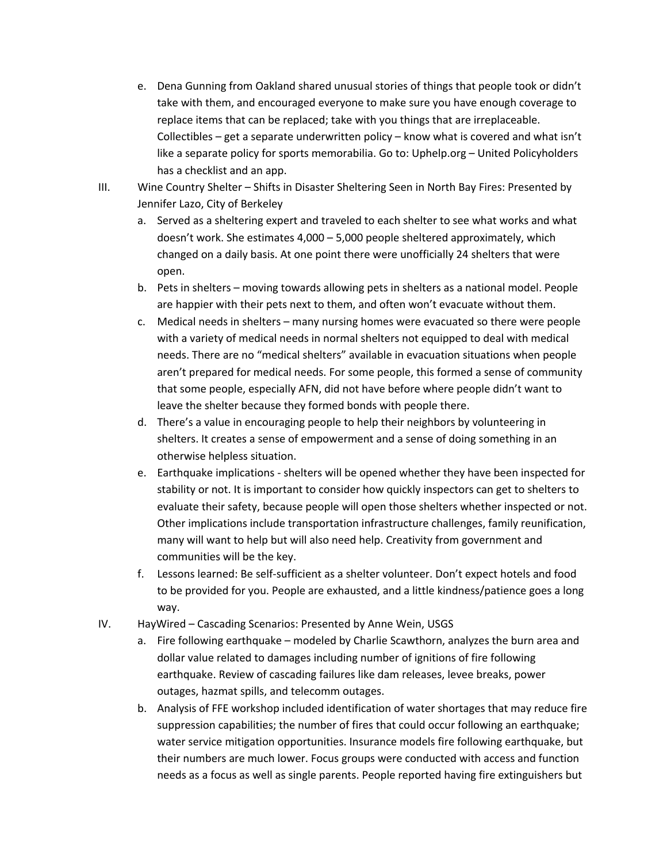- e. Dena Gunning from Oakland shared unusual stories of things that people took or didn't take with them, and encouraged everyone to make sure you have enough coverage to replace items that can be replaced; take with you things that are irreplaceable. Collectibles – get a separate underwritten policy – know what is covered and what isn't like a separate policy for sports memorabilia. Go to: Uphelp.org – United Policyholders has a checklist and an app.
- III. Wine Country Shelter Shifts in Disaster Sheltering Seen in North Bay Fires: Presented by Jennifer Lazo, City of Berkeley
	- a. Served as a sheltering expert and traveled to each shelter to see what works and what doesn't work. She estimates 4,000 – 5,000 people sheltered approximately, which changed on a daily basis. At one point there were unofficially 24 shelters that were open.
	- b. Pets in shelters moving towards allowing pets in shelters as a national model. People are happier with their pets next to them, and often won't evacuate without them.
	- c. Medical needs in shelters many nursing homes were evacuated so there were people with a variety of medical needs in normal shelters not equipped to deal with medical needs. There are no "medical shelters" available in evacuation situations when people aren't prepared for medical needs. For some people, this formed a sense of community that some people, especially AFN, did not have before where people didn't want to leave the shelter because they formed bonds with people there.
	- d. There's a value in encouraging people to help their neighbors by volunteering in shelters. It creates a sense of empowerment and a sense of doing something in an otherwise helpless situation.
	- e. Earthquake implications shelters will be opened whether they have been inspected for stability or not. It is important to consider how quickly inspectors can get to shelters to evaluate their safety, because people will open those shelters whether inspected or not. Other implications include transportation infrastructure challenges, family reunification, many will want to help but will also need help. Creativity from government and communities will be the key.
	- f. Lessons learned: Be self-sufficient as a shelter volunteer. Don't expect hotels and food to be provided for you. People are exhausted, and a little kindness/patience goes a long way.
- IV. HayWired Cascading Scenarios: Presented by Anne Wein, USGS
	- a. Fire following earthquake modeled by Charlie Scawthorn, analyzes the burn area and dollar value related to damages including number of ignitions of fire following earthquake. Review of cascading failures like dam releases, levee breaks, power outages, hazmat spills, and telecomm outages.
	- b. Analysis of FFE workshop included identification of water shortages that may reduce fire suppression capabilities; the number of fires that could occur following an earthquake; water service mitigation opportunities. Insurance models fire following earthquake, but their numbers are much lower. Focus groups were conducted with access and function needs as a focus as well as single parents. People reported having fire extinguishers but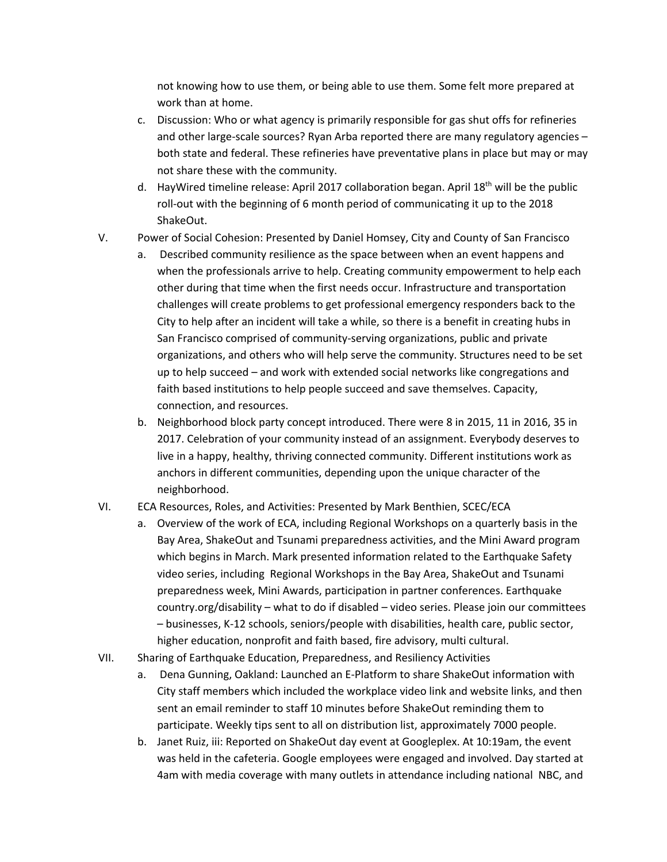not knowing how to use them, or being able to use them. Some felt more prepared at work than at home.

- c. Discussion: Who or what agency is primarily responsible for gas shut offs for refineries and other large-scale sources? Ryan Arba reported there are many regulatory agencies – both state and federal. These refineries have preventative plans in place but may or may not share these with the community.
- d. HayWired timeline release: April 2017 collaboration began. April  $18<sup>th</sup>$  will be the public roll-out with the beginning of 6 month period of communicating it up to the 2018 ShakeOut.
- V. Power of Social Cohesion: Presented by Daniel Homsey, City and County of San Francisco
	- a. Described community resilience as the space between when an event happens and when the professionals arrive to help. Creating community empowerment to help each other during that time when the first needs occur. Infrastructure and transportation challenges will create problems to get professional emergency responders back to the City to help after an incident will take a while, so there is a benefit in creating hubs in San Francisco comprised of community-serving organizations, public and private organizations, and others who will help serve the community. Structures need to be set up to help succeed – and work with extended social networks like congregations and faith based institutions to help people succeed and save themselves. Capacity, connection, and resources.
	- b. Neighborhood block party concept introduced. There were 8 in 2015, 11 in 2016, 35 in 2017. Celebration of your community instead of an assignment. Everybody deserves to live in a happy, healthy, thriving connected community. Different institutions work as anchors in different communities, depending upon the unique character of the neighborhood.

## VI. ECA Resources, Roles, and Activities: Presented by Mark Benthien, SCEC/ECA

- a. Overview of the work of ECA, including Regional Workshops on a quarterly basis in the Bay Area, ShakeOut and Tsunami preparedness activities, and the Mini Award program which begins in March. Mark presented information related to the Earthquake Safety video series, including Regional Workshops in the Bay Area, ShakeOut and Tsunami preparedness week, Mini Awards, participation in partner conferences. Earthquake country.org/disability – what to do if disabled – video series. Please join our committees – businesses, K-12 schools, seniors/people with disabilities, health care, public sector, higher education, nonprofit and faith based, fire advisory, multi cultural.
- VII. Sharing of Earthquake Education, Preparedness, and Resiliency Activities
	- a. Dena Gunning, Oakland: Launched an E-Platform to share ShakeOut information with City staff members which included the workplace video link and website links, and then sent an email reminder to staff 10 minutes before ShakeOut reminding them to participate. Weekly tips sent to all on distribution list, approximately 7000 people.
	- b. Janet Ruiz, iii: Reported on ShakeOut day event at Googleplex. At 10:19am, the event was held in the cafeteria. Google employees were engaged and involved. Day started at 4am with media coverage with many outlets in attendance including national NBC, and